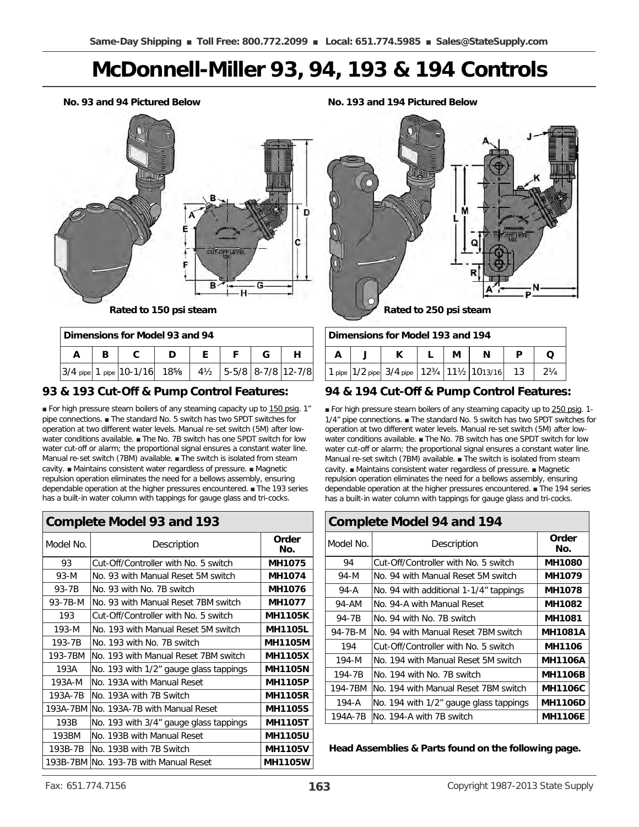## **McDonnell-Miller 93, 94, 193 & 194 Controls**

**No. 93 and 94 Pictured Below**



| Dimensions for Model 93 and 94 |  |                                                                                             |  |  |  |  |  |
|--------------------------------|--|---------------------------------------------------------------------------------------------|--|--|--|--|--|
|                                |  |                                                                                             |  |  |  |  |  |
|                                |  | 3/4 pipe 1 pipe 10-1/16 18 <sup>5</sup> /8 4 <sup>1</sup> / <sub>2</sub> 5-5/8 8-7/8 12-7/8 |  |  |  |  |  |

### **93 & 193 Cut-Off & Pump Control Features:**

■ For high pressure steam boilers of any steaming capacity up to 150 psig. 1" pipe connections. ■ The standard No. 5 switch has two SPDT switches for operation at two different water levels. Manual re-set switch (5M) after lowwater conditions available. ■ The No. 7B switch has one SPDT switch for low water cut-off or alarm; the proportional signal ensures a constant water line. Manual re-set switch (7BM) available. ■ The switch is isolated from steam cavity. ■ Maintains consistent water regardless of pressure. ■ Magnetic repulsion operation eliminates the need for a bellows assembly, ensuring dependable operation at the higher pressures encountered. ■ The 193 series has a built-in water column with tappings for gauge glass and tri-cocks.

| <b>Complete Model 93 and 193</b> |                                         |                |  |  |
|----------------------------------|-----------------------------------------|----------------|--|--|
| Model No.                        | Description                             | Order<br>No.   |  |  |
| 93                               | Cut-Off/Controller with No. 5 switch    | <b>MH1075</b>  |  |  |
| $93-M$                           | No. 93 with Manual Reset 5M switch      | MH1074         |  |  |
| 93-7B                            | No. 93 with No. 7B switch               | <b>MH1076</b>  |  |  |
| 93-7B-M                          | No. 93 with Manual Reset 7BM switch     | <b>MH1077</b>  |  |  |
| 193                              | Cut-Off/Controller with No. 5 switch    | <b>MH1105K</b> |  |  |
| 193-M                            | No. 193 with Manual Reset 5M switch     | <b>MH1105L</b> |  |  |
| 193-7B                           | No. 193 with No. 7B switch              | <b>MH1105M</b> |  |  |
| 193-7BM                          | INo. 193 with Manual Reset 7BM switch   | <b>MH1105X</b> |  |  |
| 193A                             | No. 193 with 1/2" gauge glass tappings  | <b>MH1105N</b> |  |  |
| 193A-M                           | No. 193A with Manual Reset              | <b>MH1105P</b> |  |  |
| 193A-7B                          | INo. 193A with 7B Switch                | <b>MH1105R</b> |  |  |
|                                  | 193A-7BM INo. 193A-7B with Manual Reset | <b>MH1105S</b> |  |  |
| 193B                             | No. 193 with 3/4" gauge glass tappings  | <b>MH1105T</b> |  |  |
| 193BM                            | No. 193B with Manual Reset              | <b>MH1105U</b> |  |  |
| 193B-7B                          | INo. 193B with 7B Switch                | <b>MH1105V</b> |  |  |
|                                  | 193B-7BM INo. 193-7B with Manual Reset  | <b>MH1105W</b> |  |  |

**No. 193 and 194 Pictured Below**



| Dimensions for Model 193 and 194 |  |                                                 |  |   |   |  |                |
|----------------------------------|--|-------------------------------------------------|--|---|---|--|----------------|
|                                  |  |                                                 |  | М | N |  |                |
|                                  |  | 1 pipe 1/2 pipe 3/4 pipe 123/4 111/2 1013/16 13 |  |   |   |  | $2\frac{1}{4}$ |

### **94 & 194 Cut-Off & Pump Control Features:**

■ For high pressure steam boilers of any steaming capacity up to 250 psig. 1-1/4" pipe connections. ■ The standard No. 5 switch has two SPDT switches for operation at two different water levels. Manual re-set switch (5M) after lowwater conditions available. ■ The No. 7B switch has one SPDT switch for low water cut-off or alarm; the proportional signal ensures a constant water line. Manual re-set switch (7BM) available. ■ The switch is isolated from steam cavity. ■ Maintains consistent water regardless of pressure. ■ Magnetic repulsion operation eliminates the need for a bellows assembly, ensuring dependable operation at the higher pressures encountered. ■ The 194 series has a built-in water column with tappings for gauge glass and tri-cocks.

| <b>Complete Model 94 and 194</b> |                                        |                |  |  |
|----------------------------------|----------------------------------------|----------------|--|--|
| Model No.                        | Description                            | Order<br>No.   |  |  |
| 94                               | Cut-Off/Controller with No. 5 switch   | <b>MH1080</b>  |  |  |
| 94-M                             | No. 94 with Manual Reset 5M switch     | <b>MH1079</b>  |  |  |
| 94-A                             | No. 94 with additional 1-1/4" tappings | <b>MH1078</b>  |  |  |
| 94-AM                            | No. 94-A with Manual Reset             | <b>MH1082</b>  |  |  |
| 94-7B                            | No. 94 with No. 7B switch              | <b>MH1081</b>  |  |  |
| 94-7B-M                          | No. 94 with Manual Reset 7BM switch    | <b>MH1081A</b> |  |  |
| 194                              | Cut-Off/Controller with No. 5 switch   | MH1106         |  |  |
| 194-M                            | No. 194 with Manual Reset 5M switch    | <b>MH1106A</b> |  |  |
| 194-7B                           | No. 194 with No. 7B switch             | <b>MH1106B</b> |  |  |
| 194-7BM                          | No. 194 with Manual Reset 7BM switch   | <b>MH1106C</b> |  |  |
| 194-A                            | No. 194 with 1/2" gauge glass tappings | <b>MH1106D</b> |  |  |
| 194A-7B                          | No. 194-A with 7B switch               | <b>MH1106E</b> |  |  |

**Head Assemblies & Parts found on the following page.**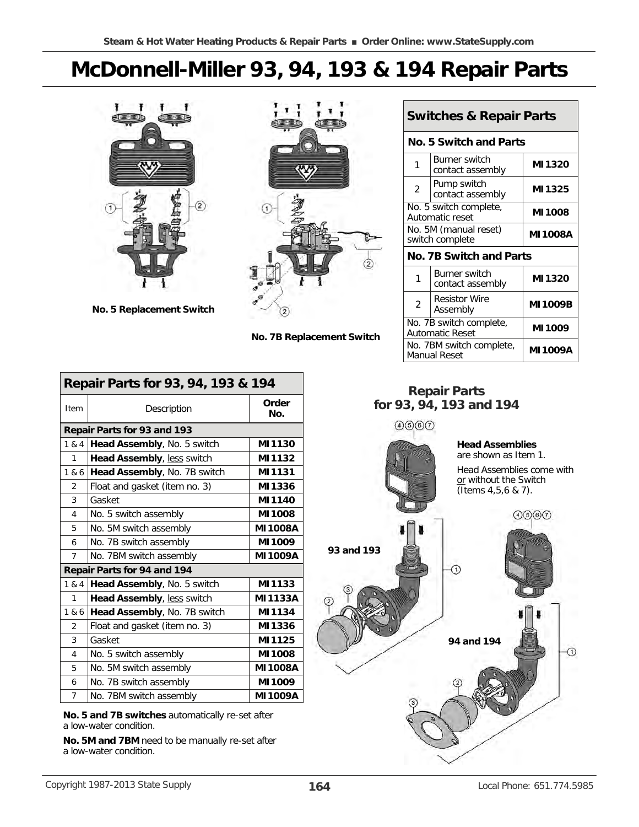# **McDonnell-Miller 93, 94, 193 & 194 Repair Parts**



**No. 5 Replacement Switch**



**No. 7B Replacement Switch**

|                                                            | <b>Switches &amp; Repair Parts</b>        |                |  |  |  |
|------------------------------------------------------------|-------------------------------------------|----------------|--|--|--|
|                                                            | No. 5 Switch and Parts                    |                |  |  |  |
| 1                                                          | Burner switch<br>contact assembly         | MI1320         |  |  |  |
| $\overline{2}$                                             | Pump switch<br>contact assembly           | MI1325         |  |  |  |
|                                                            | No. 5 switch complete,<br>Automatic reset | <b>MI1008</b>  |  |  |  |
| No. 5M (manual reset)<br><b>MI1008A</b><br>switch complete |                                           |                |  |  |  |
|                                                            | No. 7B Switch and Parts                   |                |  |  |  |
| 1                                                          | <b>Burner switch</b><br>contact assembly  | MI1320         |  |  |  |
| $\overline{2}$                                             | <b>Resistor Wire</b><br>Assembly          | <b>MI1009B</b> |  |  |  |
| No. 7B switch complete,<br><b>Automatic Reset</b>          |                                           | MI1009         |  |  |  |
|                                                            | No. 7BM switch complete,<br>Manual Reset  | MI 1009A       |  |  |  |

## **Repair Parts for 93, 94, 193 and 194**



**Repair Parts for 93, 94, 193 & 194**  Item **Description Order Repair Parts for 93 and 193**  1 & 4 **Head Assembly**, No. 5 switch **MI1130**  1 **Head Assembly**, less switch **MI1132**  1 & 6 **Head Assembly**, No. 7B switch **MI1131**  2 Float and gasket (item no. 3) **MI1336**  3 Gasket **MI1140**  4 No. 5 switch assembly **MI1008**  5 No. 5M switch assembly **MI1008A**  6 No. 7B switch assembly **MI1009**  7 No. 7BM switch assembly **MI1009A Repair Parts for 94 and 194**  1 & 4 **Head Assembly**, No. 5 switch **MI1133**  1 **Head Assembly**, less switch **MI1133A**  1 & 6 **Head Assembly**, No. 7B switch **MI1134**  2 Float and gasket (item no. 3) **MI1336**  3 Gasket **MI1125**  4 No. 5 switch assembly **MI1008**  5 No. 5M switch assembly **MI1008A**  6 No. 7B switch assembly **MI1009**  7 No. 7BM switch assembly **MI1009A** 

**No. 5 and 7B switches** automatically re-set after a low-water condition.

**No. 5M and 7BM** need to be manually re-set after a low-water condition.

 $\odot$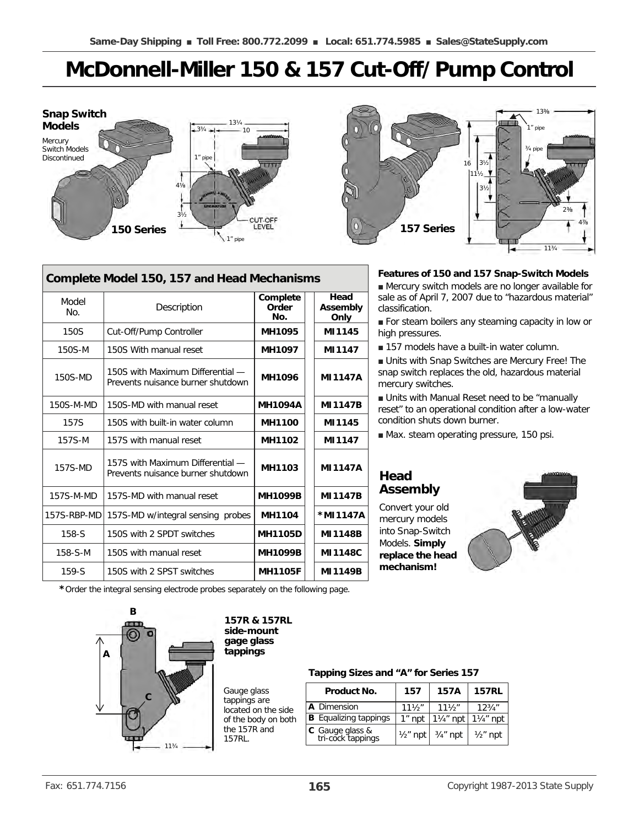# **McDonnell-Miller 150 & 157 Cut-Off/Pump Control**



| Complete Model 150, 157 and Head Mechanisms |                                                                       |                          |                          |  |  |
|---------------------------------------------|-----------------------------------------------------------------------|--------------------------|--------------------------|--|--|
| Model<br>No.                                | Description                                                           | Complete<br>Order<br>No. | Head<br>Assembly<br>Only |  |  |
| 150S                                        | Cut-Off/Pump Controller                                               | <b>MH1095</b>            | MI1145                   |  |  |
| 150S-M                                      | 150S With manual reset                                                | MH1097                   | MI1147                   |  |  |
| 150S-MD                                     | 150S with Maximum Differential —<br>Prevents nuisance burner shutdown | <b>MH1096</b>            | <b>MI1147A</b>           |  |  |
| 150S-M-MD                                   | 150S-MD with manual reset                                             | <b>MH1094A</b>           | <b>MI1147B</b>           |  |  |
| 157S                                        | 150S with built-in water column                                       | <b>MH1100</b>            | MI1145                   |  |  |
| 157S-M                                      | 157S with manual reset                                                | <b>MH1102</b>            | MI1147                   |  |  |
| 157S-MD                                     | 157S with Maximum Differential —<br>Prevents nuisance burner shutdown | <b>MH1103</b>            | <b>MI1147A</b>           |  |  |
| 157S-M-MD                                   | 157S-MD with manual reset                                             | <b>MH1099B</b>           | <b>MI1147B</b>           |  |  |
| 157S-RBP-MD                                 | 157S-MD w/integral sensing probes                                     | <b>MH1104</b>            | *MI 1147A                |  |  |
| $158-S$                                     | 150S with 2 SPDT switches                                             | <b>MH1105D</b>           | <b>MI1148B</b>           |  |  |
| 158-S-M                                     | 150S with manual reset                                                | <b>MH1099B</b>           | MI1148C                  |  |  |
| $159-S$                                     | 150S with 2 SPST switches                                             | <b>MH1105F</b>           | <b>MI1149B</b>           |  |  |



#### **Features of 150 and 157 Snap-Switch Models**

■ Mercury switch models are no longer available for sale as of April 7, 2007 due to "hazardous material" classification.

■ For steam boilers any steaming capacity in low or high pressures.

■ 157 models have a built-in water column.

■ Units with Snap Switches are Mercury Free! The snap switch replaces the old, hazardous material mercury switches.

■ Units with Manual Reset need to be "manually reset" to an operational condition after a low-water condition shuts down burner.

■ Max. steam operating pressure, 150 psi.

## **Head Assembly**

Convert your old mercury models into Snap-Switch Models. **Simply replace the head mechanism!** 



**\***Order the integral sensing electrode probes separately on the following page.



#### **157R & 157RL side-mount gage glass tappings**

Gauge glass tappings are located on the side of the body on both the 157R and 157RL.

#### **Tapping Sizes and "A" for Series 157**

| Product No.                          | 157                 | <b>157A</b>          | <b>157RL</b> |
|--------------------------------------|---------------------|----------------------|--------------|
| A Dimension                          | $11\frac{1}{2}$     | $11\frac{1}{2}$      | 123/4"       |
| <b>B</b> Equalizing tappings         | $1″$ npt            | $1\frac{1}{4}$ " npt | 11⁄4" npt    |
| C Gauge glass &<br>tri-cock tappings | $\frac{1}{2}$ " npt | $3/4$ " npt          | $1/2$ " npt  |